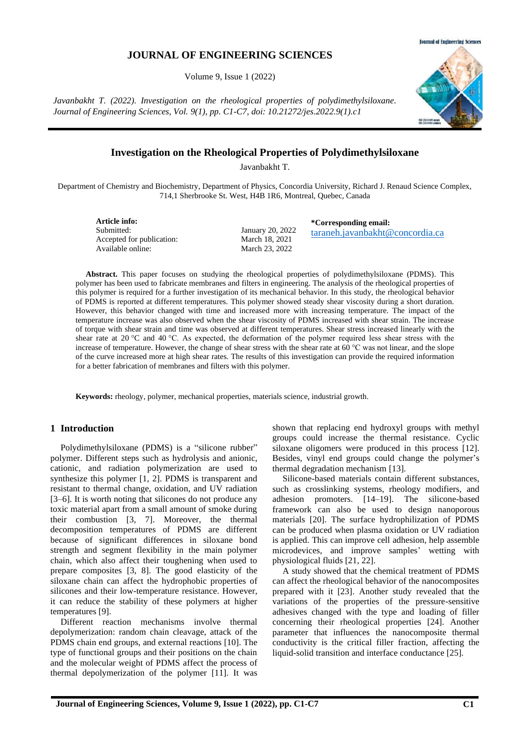## type of functional groups and their positions on the chain and the molecular weight of PDMS affect the process of thermal depolymerization of the polymer [11]. It was

for a better fabrication of membranes and filters with this polymer.

Polydimethylsiloxane (PDMS) is a "silicone rubber" polymer. Different steps such as hydrolysis and anionic, cationic, and radiation polymerization are used to synthesize this polymer [1, 2]. PDMS is transparent and resistant to thermal change, oxidation, and UV radiation [3–6]. It is worth noting that silicones do not produce any toxic material apart from a small amount of smoke during their combustion [3, 7]. Moreover, the thermal decomposition temperatures of PDMS are different because of significant differences in siloxane bond strength and segment flexibility in the main polymer chain, which also affect their toughening when used to prepare composites [3, 8]. The good elasticity of the siloxane chain can affect the hydrophobic properties of silicones and their low-temperature resistance. However, it can reduce the stability of these polymers at higher

Different reaction mechanisms involve thermal depolymerization: random chain cleavage, attack of the PDMS chain end groups, and external reactions [10]. The

**Keywords:** rheology, polymer, mechanical properties, materials science, industrial growth.

shown that replacing end hydroxyl groups with methyl groups could increase the thermal resistance. Cyclic siloxane oligomers were produced in this process [12]. Besides, vinyl end groups could change the polymer's thermal degradation mechanism [13].

**\*Corresponding email:**

[taraneh.javanbakht@concordia.ca](mailto:taraneh.javanbakht@concordia.ca)

Silicone-based materials contain different substances, such as crosslinking systems, rheology modifiers, and adhesion promoters. [14–19]. The silicone-based framework can also be used to design nanoporous materials [20]. The surface hydrophilization of PDMS can be produced when plasma oxidation or UV radiation is applied. This can improve cell adhesion, help assemble microdevices, and improve samples' wetting with physiological fluids [21, 22].

A study showed that the chemical treatment of PDMS can affect the rheological behavior of the nanocomposites prepared with it [23]. Another study revealed that the variations of the properties of the pressure-sensitive adhesives changed with the type and loading of filler concerning their rheological properties [24]. Another parameter that influences the nanocomposite thermal conductivity is the critical filler fraction, affecting the liquid-solid transition and interface conductance [25].

# **Investigation on the Rheological Properties of Polydimethylsiloxane**

Javanbakht T.

Department of Chemistry and Biochemistry, Department of Physics, Concordia University, Richard J. Renaud Science Complex, 714,1 Sherbrooke St. West, H4B 1R6, Montreal, Quebec, Canada

**Article info:** Submitted: Accepted for publication: Available online:

**1 Introduction**

temperatures [9].

January 20, 2022 March 18, 2021 March 23, 2022

increase of temperature. However, the change of shear stress with the shear rate at 60 °C was not linear, and the slope of the curve increased more at high shear rates. The results of this investigation can provide the required information

**Abstract.** This paper focuses on studying the rheological properties of polydimethylsiloxane (PDMS). This polymer has been used to fabricate membranes and filters in engineering. The analysis of the rheological properties of this polymer is required for a further investigation of its mechanical behavior. In this study, the rheological behavior of PDMS is reported at different temperatures. This polymer showed steady shear viscosity during a short duration. However, this behavior changed with time and increased more with increasing temperature. The impact of the temperature increase was also observed when the shear viscosity of PDMS increased with shear strain. The increase of torque with shear strain and time was observed at different temperatures. Shear stress increased linearly with the shear rate at 20 °C and 40 °C. As expected, the deformation of the polymer required less shear stress with the

**JOURNAL OF ENGINEERING SCIENCES**

Volume 9, Issue 1 (2022)

*Javanbakht T. (2022). Investigation on the rheological properties of polydimethylsiloxane. Journal of Engineering Sciences, Vol. 9(1), pp. C1-C7, doi: 10.21272/jes.2022.9(1).c1*



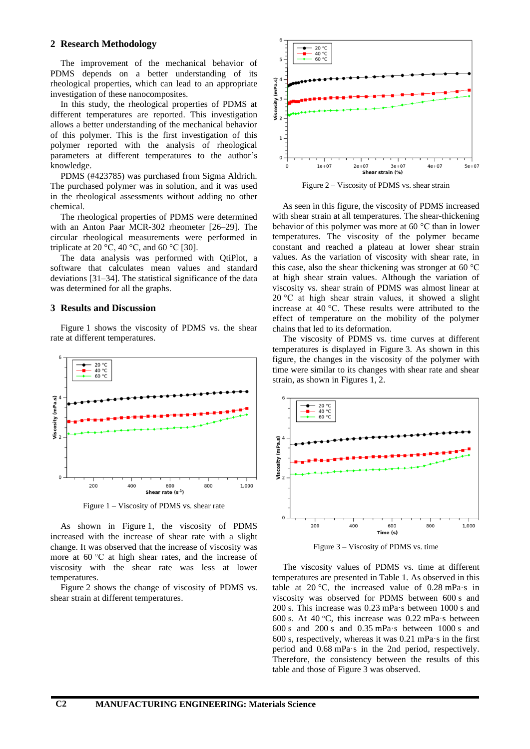### **2 Research Methodology**

The improvement of the mechanical behavior of PDMS depends on a better understanding of its rheological properties, which can lead to an appropriate investigation of these nanocomposites.

In this study, the rheological properties of PDMS at different temperatures are reported. This investigation allows a better understanding of the mechanical behavior of this polymer. This is the first investigation of this polymer reported with the analysis of rheological parameters at different temperatures to the author's knowledge.

PDMS (#423785) was purchased from Sigma Aldrich. The purchased polymer was in solution, and it was used in the rheological assessments without adding no other chemical.

The rheological properties of PDMS were determined with an Anton Paar MCR-302 rheometer [26–29]. The circular rheological measurements were performed in triplicate at 20 °C, 40 °C, and 60 °C [30].

The data analysis was performed with QtiPlot, a software that calculates mean values and standard deviations [31–34]. The statistical significance of the data was determined for all the graphs.

# **3 Results and Discussion**

Figure 1 shows the viscosity of PDMS vs. the shear rate at different temperatures.



Figure 1 – Viscosity of PDMS vs. shear rate

As shown in Figure 1, the viscosity of PDMS increased with the increase of shear rate with a slight change. It was observed that the increase of viscosity was more at 60 °C at high shear rates, and the increase of viscosity with the shear rate was less at lower temperatures.

Figure 2 shows the change of viscosity of PDMS vs. shear strain at different temperatures.



Figure 2 – Viscosity of PDMS vs. shear strain

As seen in this figure, the viscosity of PDMS increased with shear strain at all temperatures. The shear-thickening behavior of this polymer was more at 60 °C than in lower temperatures. The viscosity of the polymer became constant and reached a plateau at lower shear strain values. As the variation of viscosity with shear rate, in this case, also the shear thickening was stronger at 60 °C at high shear strain values. Although the variation of viscosity vs. shear strain of PDMS was almost linear at 20 °C at high shear strain values, it showed a slight increase at 40 °C. These results were attributed to the effect of temperature on the mobility of the polymer chains that led to its deformation.

The viscosity of PDMS vs. time curves at different temperatures is displayed in Figure 3. As shown in this figure, the changes in the viscosity of the polymer with time were similar to its changes with shear rate and shear strain, as shown in Figures 1, 2.



Figure 3 – Viscosity of PDMS vs. time

The viscosity values of PDMS vs. time at different temperatures are presented in Table 1. As observed in this table at 20 °C, the increased value of  $0.28$  mPa·s in viscosity was observed for PDMS between 600 s and 200 s. This increase was 0.23 mPa·s between 1000 s and 600 s. At 40 °C, this increase was 0.22 mPa·s between 600 s and 200 s and 0.35 mPa·s between 1000 s and 600 s, respectively, whereas it was 0.21 mPa·s in the first period and 0.68 mPa·s in the 2nd period, respectively. Therefore, the consistency between the results of this table and those of Figure 3 was observed.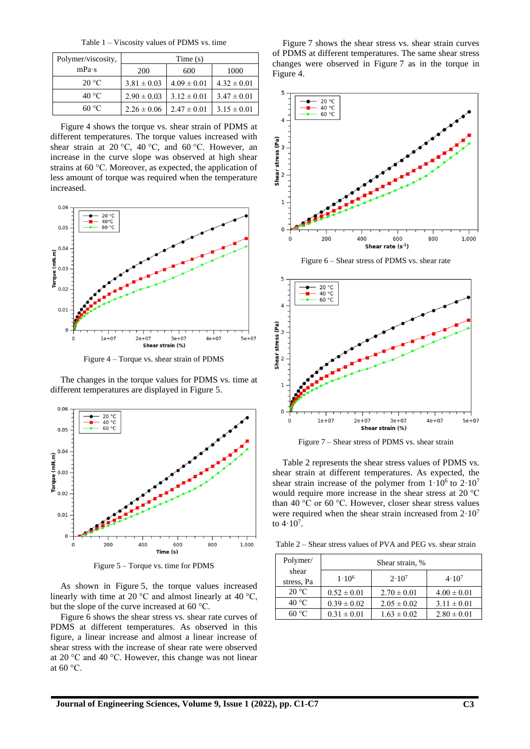Table 1 – Viscosity values of PDMS vs. time

| Polymer/viscosity, | Time(s)         |                 |                 |
|--------------------|-----------------|-----------------|-----------------|
| mPa·s              | <b>200</b>      | 600             | 1000            |
| $20^{\circ}$ C     | $3.81 \pm 0.03$ | $4.09 \pm 0.01$ | $4.32 \pm 0.01$ |
| $40^{\circ}$ C     | $2.90 \pm 0.03$ | $3.12 \pm 0.01$ | $3.47 \pm 0.01$ |
| 60 °C              | $2.26 \pm 0.06$ | $2.47 \pm 0.01$ | $3.15 \pm 0.01$ |

Figure 4 shows the torque vs. shear strain of PDMS at different temperatures. The torque values increased with shear strain at 20 °C, 40 °C, and 60 °C. However, an increase in the curve slope was observed at high shear strains at 60 °C. Moreover, as expected, the application of less amount of torque was required when the temperature increased.



Figure 4 – Torque vs. shear strain of PDMS

The changes in the torque values for PDMS vs. time at different temperatures are displayed in Figure 5.



Figure 5 – Torque vs. time for PDMS

As shown in Figure 5, the torque values increased linearly with time at 20  $\rm{^{\circ}C}$  and almost linearly at 40  $\rm{^{\circ}C}$ , but the slope of the curve increased at 60 °C.

Figure 6 shows the shear stress vs. shear rate curves of PDMS at different temperatures. As observed in this figure, a linear increase and almost a linear increase of shear stress with the increase of shear rate were observed at 20 °C and 40 °C. However, this change was not linear at 60 °C.

Figure 7 shows the shear stress vs. shear strain curves of PDMS at different temperatures. The same shear stress changes were observed in Figure 7 as in the torque in Figure 4.



Figure 6 – Shear stress of PDMS vs. shear rate



Figure 7 – Shear stress of PDMS vs. shear strain

Table 2 represents the shear stress values of PDMS vs. shear strain at different temperatures. As expected, the shear strain increase of the polymer from  $1.10^6$  to  $2.10^7$ would require more increase in the shear stress at 20 °C than 40 °C or 60 °C. However, closer shear stress values were required when the shear strain increased from  $2.10<sup>7</sup>$ to  $4 \cdot 10^7$ .

Table 2 – Shear stress values of PVA and PEG vs. shear strain

| Polymer/            |                 | Shear strain, % |                 |
|---------------------|-----------------|-----------------|-----------------|
| shear<br>stress, Pa | $1.10^{6}$      | $2.10^{7}$      | $4.10^{7}$      |
| $20^{\circ}$ C      | $0.52 \pm 0.01$ | $2.70 \pm 0.01$ | $4.00 \pm 0.01$ |
| $40^{\circ}$ C      | $0.39 \pm 0.02$ | $2.05 \pm 0.02$ | $3.11 \pm 0.01$ |
| $60^{\circ}$ C      | $0.31 \pm 0.01$ | $1.63 \pm 0.02$ | $2.80 \pm 0.01$ |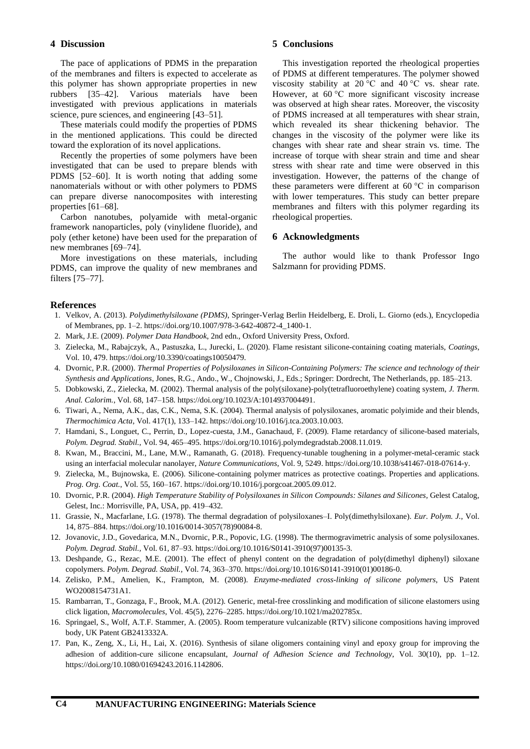# **4 Discussion**

The pace of applications of PDMS in the preparation of the membranes and filters is expected to accelerate as this polymer has shown appropriate properties in new rubbers [35–42]. Various materials have been investigated with previous applications in materials science, pure sciences, and engineering [43–51].

These materials could modify the properties of PDMS in the mentioned applications. This could be directed toward the exploration of its novel applications.

Recently the properties of some polymers have been investigated that can be used to prepare blends with PDMS [52–60]. It is worth noting that adding some nanomaterials without or with other polymers to PDMS can prepare diverse nanocomposites with interesting properties [61–68].

Carbon nanotubes, polyamide with metal-organic framework nanoparticles, poly (vinylidene fluoride), and poly (ether ketone) have been used for the preparation of new membranes [69–74].

More investigations on these materials, including PDMS, can improve the quality of new membranes and filters [75–77].

# **5 Conclusions**

This investigation reported the rheological properties of PDMS at different temperatures. The polymer showed viscosity stability at 20 °C and 40 °C vs. shear rate. However, at 60 °C more significant viscosity increase was observed at high shear rates. Moreover, the viscosity of PDMS increased at all temperatures with shear strain, which revealed its shear thickening behavior. The changes in the viscosity of the polymer were like its changes with shear rate and shear strain vs. time. The increase of torque with shear strain and time and shear stress with shear rate and time were observed in this investigation. However, the patterns of the change of these parameters were different at 60 °C in comparison with lower temperatures. This study can better prepare membranes and filters with this polymer regarding its rheological properties.

#### **6 Acknowledgments**

The author would like to thank Professor Ingo Salzmann for providing PDMS.

## **References**

- 1. Velkov, A. (2013). *Polydimethylsiloxane (PDMS)*, Springer-Verlag Berlin Heidelberg, E. Droli, L. Giorno (eds.), Encyclopedia of Membranes, pp. 1–2. https://doi.org/10.1007/978-3-642-40872-4\_1400-1.
- 2. Mark, J.E. (2009). *Polymer Data Handbook*, 2nd edn., Oxford University Press, Oxford.
- 3. Zielecka, M., Rabajczyk, A., Pastuszka, L., Jurecki, L. (2020). Flame resistant silicone-containing coating materials, *Coatings*, Vol. 10, 479. https://doi.org/10.3390/coatings10050479.
- 4. Dvornic, P.R. (2000). *Thermal Properties of Polysiloxanes in Silicon-Containing Polymers: The science and technology of their Synthesis and Applications*, Jones, R.G., Ando., W., Chojnowski, J., Eds.; Springer: Dordrecht, The Netherlands, pp. 185–213.
- 5. Dobkowski, Z., Zielecka, M. (2002). Thermal analysis of the poly(siloxane)-poly(tetrafluoroethylene) coating system, *J. Therm. Anal. Calorim.*, Vol. 68, 147–158. https://doi.org/10.1023/A:1014937004491.
- 6. Tiwari, A., Nema, A.K., das, C.K., Nema, S.K. (2004). Thermal analysis of polysiloxanes, aromatic polyimide and their blends, *Thermochimica Acta*, Vol. 417(1), 133–142. https://doi.org/10.1016/j.tca.2003.10.003.
- 7. Hamdani, S., Longuet, C., Perrin, D., Lopez-cuesta, J.M., Ganachaud, F. (2009). Flame retardancy of silicone-based materials, *Polym. Degrad. Stabil.*, Vol. 94, 465–495. https://doi.org/10.1016/j.polymdegradstab.2008.11.019.
- 8. Kwan, M., Braccini, M., Lane, M.W., Ramanath, G. (2018). Frequency-tunable toughening in a polymer-metal-ceramic stack using an interfacial molecular nanolayer, *Nature Communications*, Vol. 9, 5249[. https://doi.org/10.1038/s41467-018-07614-y.](https://doi.org/10.1038/s41467-018-07614-y)
- 9. Zielecka, M., Bujnowska, E. (2006). Silicone-containing polymer matrices as protective coatings. Properties and applications. *Prog. Org. Coat.*, Vol. 55, 160–167. [https://doi.org/10.1016/j.porgcoat.2005.09.012.](https://doi.org/10.1016/j.porgcoat.2005.09.012)
- 10. Dvornic, P.R. (2004). *High Temperature Stability of Polysiloxanes in Silicon Compounds: Silanes and Silicones*, Gelest Catalog, Gelest, Inc.: Morrisville, PA, USA, pp. 419–432.
- 11. Grassie, N., Macfarlane, I.G. (1978). The thermal degradation of polysiloxanes–I. Poly(dimethylsiloxane). *Eur. Polym. J.*, Vol. 14, 875–884. https://doi.org/10.1016/0014-3057(78)90084-8.
- 12. Jovanovic, J.D., Govedarica, M.N., Dvornic, P.R., Popovic, I.G. (1998). The thermogravimetric analysis of some polysiloxanes. *Polym. Degrad. Stabil.*, Vol. 61, 87–93[. https://doi.org/10.1016/S0141-3910\(97\)00135-3.](https://doi.org/10.1016/S0141-3910(97)00135-3)
- 13. Deshpande, G., Rezac, M.E. (2001). The effect of phenyl content on the degradation of poly(dimethyl diphenyl) siloxane copolymers. *Polym. Degrad. Stabil.*, Vol. 74, 363–370. [https://doi.org/](https://doi.org/10.1016/S0141-3910(97)00135-3)[10.1016/S0141-3910\(01\)00186-0.](http://dx.doi.org/10.1016/S0141-3910(01)00186-0)
- 14. Zelisko, P.M., Amelien, K., Frampton, M. (2008). *Enzyme-mediated cross-linking of silicone polymers*, US Patent WO2008154731A1.
- 15. [Rambarran,](https://pubs.acs.org/action/doSearch?field1=Contrib&text1=Talena++Rambarran) T.[, Gonzaga,](https://pubs.acs.org/action/doSearch?field1=Contrib&text1=Ferdinand++Gonzaga) F., [Brook,](https://pubs.acs.org/action/doSearch?field1=Contrib&text1=Michael+A.++Brook) M.A. (2012). Generic, metal-free crosslinking and modification of silicone elastomers using click ligation, *Macromolecules*, Vol. 45(5), 2276–2285. [https://doi.org/10.1021/ma202785x.](https://doi.org/10.1021/ma202785x)
- 16. [Springael,](https://patents.google.com/?inventor=Sabine+Springael) S., [Wolf,](https://patents.google.com/patent/GB2413332A/en) A.T.F. [Stammer,](https://patents.google.com/?inventor=Andreas+Stammer) A. (2005). Room temperature vulcanizable (RTV) silicone compositions having improved body, UK Patent GB2413332A.
- 17. Pan, K., Zeng, X., Li, H., Lai, X. (2016). Synthesis of silane oligomers containing vinyl and epoxy group for improving the adhesion of addition-cure silicone encapsulant, *[Journal of Adhesion Science and Technology](https://www.researchgate.net/journal/Journal-of-Adhesion-Science-and-Technology-1568-5616)*, Vol. 30(10), pp. 1–12. https://doi.org[/10.1080/01694243.2016.1142806.](http://dx.doi.org/10.1080/01694243.2016.1142806)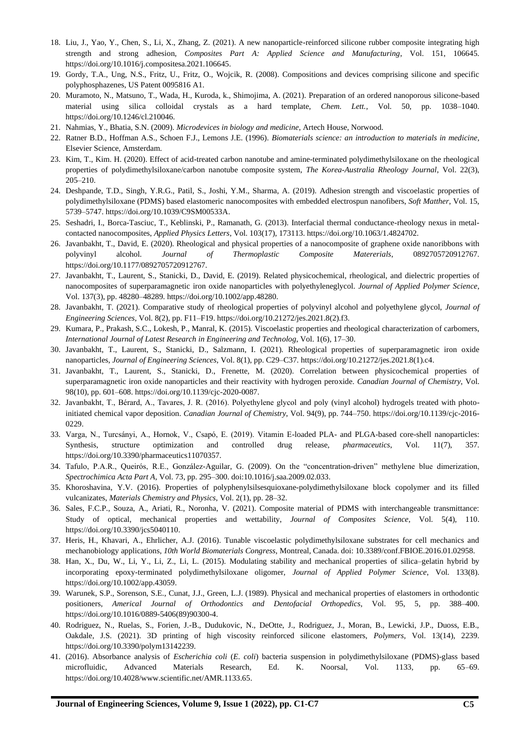- 18. Liu, J., Yao, Y., Chen, S., Li, X., Zhang, Z. (2021). A new nanoparticle-reinforced silicone rubber composite integrating high strength and strong adhesion, *[Composites Part A: Applied Science and Manufacturing](https://www.sciencedirect.com/science/journal/1359835X)*, Vol. 151, 106645. https://doi.org/10.1016/j.compositesa.2021.106645.
- 19. Gordy, T.A., Ung, N.S., Fritz, U., Fritz, O., Wojcik, R. (2008). Compositions and devices comprising silicone and specific polyphosphazenes, US Patent 0095816 A1.
- 20. Muramoto, N., Matsuno, T., Wada, H., Kuroda, k., Shimojima, A. (2021). Preparation of an ordered nanoporous silicone-based material using silica colloidal crystals as a hard template, *Chem. Lett.*, Vol. 50, pp. 1038–1040. [https://doi.org/10.1246/cl.210046.](https://doi.org/10.1246/cl.210046)
- 21. Nahmias, Y., Bhatia, S.N. (2009). *Microdevices in biology and medicine*, Artech House, Norwood.
- 22. Ratner B.D., Hoffman A.S., Schoen F.J., Lemons J.E. (1996). *Biomaterials science: an introduction to materials in medicine*, Elsevier Science, Amsterdam.
- 23. Kim, T., Kim. H. (2020). Effect of acid-treated carbon nanotube and amine-terminated polydimethylsiloxane on the rheological properties of polydimethylsiloxane/carbon nanotube composite system, *The Korea-Australia Rheology Journal*, Vol. 22(3), 205–210.
- 24. Deshpande, T.D., Singh, Y.R.G., Patil, S., Joshi, Y.M., Sharma, A. (2019). Adhesion strength and viscoelastic properties of polydimethylsiloxane (PDMS) based elastomeric nanocomposites with embedded electrospun nanofibers, *Soft Matther*, Vol. 15, 5739–5747[. https://doi.org/10.1039/C9SM00533A.](https://doi.org/10.1039/C9SM00533A)
- 25. Seshadri, I., Borca-Tasciuc, T., Keblinski, P., Ramanath, G. (2013). Interfacial thermal conductance-rheology nexus in metalcontacted nanocomposites, *[Applied Physics Letters](https://www.researchgate.net/journal/Applied-Physics-Letters-0003-6951)*, Vol. 103(17), 173113. https://doi.org[/10.1063/1.4824702.](http://dx.doi.org/10.1063/1.4824702)
- 26. Javanbakht, T., David, E. (2020). Rheological and physical properties of a nanocomposite of graphene oxide nanoribbons with polyvinyl alcohol. *Journal of Thermoplastic Composite Matererials*, 0892705720912767. https://doi.org/10.1177/0892705720912767.
- 27. Javanbakht, T., Laurent, S., Stanicki, D., David, E. (2019). Related physicochemical, rheological, and dielectric properties of nanocomposites of superparamagnetic iron oxide nanoparticles with polyethyleneglycol. *Journal of Applied Polymer Science*, Vol. 137(3), pp. 48280–48289[. https://doi.org/10.1002/app.48280.](https://doi.org/10.1002/app.48280)
- 28. Javanbakht, T. (2021). Comparative study of rheological properties of polyvinyl alcohol and polyethylene glycol, *Journal of Engineering Sciences*, Vol. 8(2), pp. F11–F19. https://doi.org/10.21272/jes.2021.8(2).f3.
- 29. Kumara, P., Prakash, S.C., Lokesh, P., Manral, K. (2015). Viscoelastic properties and rheological characterization of carbomers, *International Journal of Latest Research in Engineering and Technolog*, Vol. 1(6), 17–30.
- 30. Javanbakht, T., Laurent, S., Stanicki, D., Salzmann, I. (2021). Rheological properties of superparamagnetic iron oxide nanoparticles, *Journal of Engineering Sciences*, Vol. 8(1), pp. C29–C37. [https://doi.org/10.21272/jes.2021.8\(1\).c4.](https://doi.org/10.21272/jes.2021.8(1).c4)
- 31. Javanbakht, T., Laurent, S., Stanicki, D., Frenette, M. (2020). Correlation between physicochemical properties of superparamagnetic iron oxide nanoparticles and their reactivity with hydrogen peroxide. *Canadian Journal of Chemistry*, Vol. 98(10), pp. 60[1–6](http://www.sciencedirect.com/science/article/pii/S156611991400250X)08. https://doi.org/10.1139/cjc-2020-0087.
- 32. Javanbakht, T., Bérard, A., Tavares, J. R. (2016). Polyethylene glycol and poly (vinyl alcohol) hydrogels treated with photoinitiated chemical vapor deposition. *Canadian Journal of Chemistry*, Vol. 94(9), pp. 744–750. https://doi.org/10.1139/cjc-2016- 0229.
- 33. Varga, N., Turcsányi, A., Hornok, V., Csapó, E. (2019). Vitamin E-loaded PLA- and PLGA-based core-shell nanoparticles: Synthesis, structure optimization and controlled drug release, *pharmaceutics*, Vol. 11(7), 357. https://doi.org/10.3390/pharmaceutics11070357.
- 34. Tafulo, P.A.R., Queirós, R.E., González-Aguilar, G. (2009). On the "concentration-driven" methylene blue dimerization, *Spectrochimica Acta Part A*, Vol. 73, pp. 295–300. doi:10.1016/j.saa.2009.02.033.
- 35. [Khoroshavina,](https://www.researchgate.net/profile/Yulia-Khoroshavina) Y.V. (2016). Properties of polyphenylsilsesquioxane-polydimethylsiloxane block copolymer and its filled vulcanizates, *Materials Chemistry and Physics*, Vol. 2(1), pp. 28–32.
- 36. [Sales,](https://www.researchgate.net/profile/Flaminio-Pereira-Sales) F.C.P., [Souza,](https://www.researchgate.net/profile/Andrews-Souza) A., [Ariati,](https://www.researchgate.net/profile/Ronaldo-Ariati-2) R., [Noronha,](https://www.researchgate.net/scientific-contributions/Veronica-Teixeira-Noronha-2196671392) V. (2021). Composite material of PDMS with interchangeable transmittance: Study of optical, mechanical properties and wettability, *[Journal of Composites Science](https://www.researchgate.net/journal/Journal-of-Composites-Science-2504-477X)*, Vol. 5(4), 110. [https://doi.org/10.3390/jcs5040110.](https://doi.org/10.3390/jcs5040110)
- 37. [Heris,](https://www.frontiersin.org/Community/WhosWhoActivity.aspx?sname=&UID=0) H., [Khavari,](https://www.frontiersin.org/Community/WhosWhoActivity.aspx?sname=&UID=0) A., [Ehrlicher,](https://www.frontiersin.org/Community/WhosWhoActivity.aspx?sname=&UID=0) A.J. (2016). Tunable viscoelastic polydimethylsiloxane substrates for cell mechanics and mechanobiology applications, *10th World Biomaterials Congress*, Montreal, Canada. doi: 10.3389/conf.FBIOE.2016.01.02958.
- 38. [Han,](https://onlinelibrary.wiley.com/action/doSearch?ContribAuthorRaw=Han%2C+Xiaona) X., [Du,](https://onlinelibrary.wiley.com/action/doSearch?ContribAuthorRaw=Du%2C+Weining) W., [Li,](https://onlinelibrary.wiley.com/action/doSearch?ContribAuthorRaw=Li%2C+Yupeng) Y., [Li,](https://onlinelibrary.wiley.com/action/doSearch?ContribAuthorRaw=Li%2C+Zhengjun) Z., [Li,](https://onlinelibrary.wiley.com/action/doSearch?ContribAuthorRaw=Li%2C+Lixin) L. (2015). Modulating stability and mechanical properties of silica–gelatin hybrid by incorporating epoxy-terminated polydimethylsiloxane oligomer, *Journal of Applied Polymer Science*, Vol. 133(8). [https://doi.org/10.1002/app.43059.](https://doi.org/10.1002/app.43059)
- 39. Warunek, S.P., Sorenson, S.E., Cunat, J.J., Green, L.J. (1989). Physical and mechanical properties of elastomers in orthodontic positioners, *Americal Journal of Orthodontics and Dentofacial Orthopedics*, Vol. 95, 5, pp. 388–400. https://doi.org/10.1016/0889-5406(89)90300-4.
- 40. Rodriguez, N., Ruelas, S., Forien, J.-B., Dudukovic, N., DeOtte, J., Rodriguez, J., Moran, B., Lewicki, J.P., Duoss, E.B., Oakdale, J.S. (2021). 3D printing of high viscosity reinforced silicone elastomers, *Polymers*, Vol. 13(14), 2239. https://doi.org/10.3390/polym13142239.
- 41. (2016). Absorbance analysis of *Escherichia coli* (*E. coli*) bacteria suspension in polydimethylsiloxane (PDMS)-glass based microfluidic, Advanced Materials Research, Ed. K. Noorsal, Vol. 1133, pp. 65–69. [https://doi.org/10.4028/www.scientific.net/AMR.1133.65.](https://doi.org/10.4028/www.scientific.net/AMR.1133.65)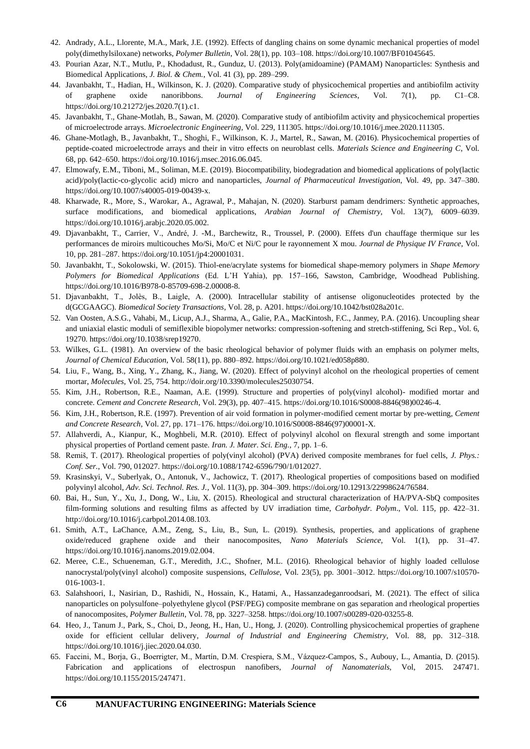- 42. Andrady, A.L., Llorente, M.A., Mark, J.E. (1992). Effects of dangling chains on some dynamic mechanical properties of model poly(dimethylsiloxane) networks, *Polymer Bulletin*, Vol. 28(1), pp. 103–108. https://doi.org[/10.1007/BF01045645.](http://dx.doi.org/10.1007/BF01045645)
- 43. Pourian Azar, N.T., Mutlu, P., Khodadust, R., Gunduz, U. (2013). Poly(amidoamine) (PAMAM) Nanoparticles: Synthesis and Biomedical Applications, *J. Biol. & Chem.*, Vol. 41 (3), pp. 289–299.
- 44. Javanbakht, T., Hadian, H., Wilkinson, K. J. (2020). Comparative study of physicochemical properties and antibiofilm activity of graphene oxide nanoribbons. *Journal of Engineering Sciences*, Vol. 7(1), pp. C1–C8. [https://doi.org/10.21272/jes.2020.7\(1\).c1.](https://doi.org/10.21272/jes.2020.7(1).c1)
- 45. Javanbakht, T., Ghane-Motlah, B., Sawan, M. (2020). Comparative study of antibiofilm activity and physicochemical properties of microelectrode arrays. *Microelectronic Engineering*, Vol. 229, 111305. [https://doi.org/10.1016/j.mee.2020.111305.](https://doi.org/10.1016/j.mee.2020.111305)
- 46. Ghane-Motlagh, B., Javanbakht, T., Shoghi, F., Wilkinson, K. J., Martel, R., Sawan, M. (2016). Physicochemical properties of peptide-coated microelectrode arrays and their in vitro effects on neuroblast cells. *Materials Science and Engineering C*, Vol. 68, pp. 642–650[. https://doi.org/10.1016/j.msec.2016.06.045.](https://doi.org/10.1016/j.msec.2016.06.045)
- 47. Elmowafy, E.M., Tiboni, M., Soliman, M.E. (2019). Biocompatibility, biodegradation and biomedical applications of poly(lactic acid)/poly(lactic-co-glycolic acid) micro and nanoparticles, *Journal of Pharmaceutical Investigation*, Vol. 49, pp. 347–380. [https://doi.org/10.1007/s40005-019-00439-x.](https://doi.org/10.1007/s40005-019-00439-x)
- 48. Kharwade, R., More, S., Warokar, A., Agrawal, P., Mahajan, N. (2020). Starburst pamam dendrimers: Synthetic approaches, surface modifications, and biomedical applications, *[Arabian Journal of Chemistry](https://www.sciencedirect.com/science/journal/18785352)*, Vol. 13(7), 6009–6039. https://doi.org/10.1016/j.arabjc.2020.05.002.
- 49. Djavanbakht, T., Carrier, V., André, J. -M., Barchewitz, R., Troussel, P. (2000). Effets d'un chauffage thermique sur les performances de miroirs multicouches Mo/Si, Mo/C et Ni/C pour le rayonnement X mou. *Journal de Physique IV France*, Vol. 10, pp. 281–287[. https://doi.org/10.1051/jp4:20001031.](https://doi.org/10.1051/jp4:20001031)
- 50. Javanbakht, T., Sokolowski, W. (2015). Thiol-ene/acrylate systems for biomedical shape-memory polymers in *Shape Memory Polymers for Biomedical Applications* (Ed. L'H Yahia), pp. 157–166, Sawston, Cambridge, Woodhead Publishing. [https://doi.org/10.1016/B978-0-85709-698-2.00008-8.](https://doi.org/10.1016/B978-0-85709-698-2.00008-8)
- 51. Djavanbakht, T., Jolès, B., Laigle, A. (2000). Intracellular stability of antisense oligonucleotides protected by the d(GCGAAGC). *Biomedical Society Transactions*, Vol. 28, p. A201. [https://doi.org/10.1042/bst028a201c.](https://doi.org/10.1042/bst028a201c)
- 52. Van Oosten, A.S.G., Vahabi, M., Licup, A.J., Sharma, A., Galie, P.A., MacKintosh, F.C., Janmey, P.A. (2016). Uncoupling shear and uniaxial elastic moduli of semiflexible biopolymer networks: compression-softening and stretch-stiffening, Sci Rep., Vol. 6, 19270[. https://doi.org/10.1038/srep19270.](https://doi.org/10.1038/srep19270)
- 53. Wilkes, G.L. (1981). An overview of the basic rheological behavior of polymer fluids with an emphasis on polymer melts, *Journal of Chemical Education*, Vol. 58(11), pp. 880–892[. https://doi.org/10.1021/ed058p880.](https://doi.org/10.1021/ed058p880)
- 54. Liu, F., Wang, B., Xing, Y., Zhang, K., Jiang, W. (2020). Effect of polyvinyl alcohol on the rheological properties of cement mortar, *Molecules*, Vol. 25, 754. [http://doir.org/10.3390/molecules25030754.](http://doir.org/10.3390/molecules25030754)
- 55. Kim, J.H., Robertson, R.E., Naaman, A.E. (1999). Structure and properties of poly(vinyl alcohol)- modified mortar and concrete. *Cement and Concrete Research*, Vol. 29(3), pp. 407–415. [https://doi.org/10.1016/S0008-8846\(98\)00246-4.](https://doi.org/10.1016/S0008-8846(98)00246-4)
- 56. Kim, J.H., Robertson, R.E. (1997). Prevention of air void formation in polymer-modified cement mortar by pre-wetting, *Cement and Concrete Research*, Vol. 27, pp. 171–176[. https://doi.org/10.1016/S0008-8846\(97\)00001-X.](https://doi.org/10.1016/S0008-8846(97)00001-X)
- 57. Allahverdi, A., Kianpur, K., Moghbeli, M.R. (2010). Effect of polyvinyl alcohol on flexural strength and some important physical properties of Portland cement paste. *Iran. J. Mater. Sci. Eng.*, 7, pp. 1–6.
- 58. Remiš, T. (2017). Rheological properties of poly(vinyl alcohol) (PVA) derived composite membranes for fuel cells, *J. Phys.: Conf. Ser.*, Vol. 790, 012027. [https://doi.org/10.1088/1742-6596/790/1/012027.](https://doi.org/10.1088/1742-6596/790/1/012027)
- 59. Krasinskyi, V., Suberlyak, O., Antonuk, V., Jachowicz, T. (2017). Rheological properties of compositions based on modified polyvinyl alcohol, *Adv. Sci. Technol. Res. J.*, Vol. 11(3), pp. 304–309[. https://doi.org/10.12913/22998624/76584.](https://doi.org/10.12913/22998624/76584)
- 60. Bai, H., Sun, Y., Xu, J., Dong, W., Liu, X. (2015). Rheological and structural characterization of HA/PVA-SbQ composites film-forming solutions and resulting films as affected by UV irradiation time, *Carbohydr. Polym*., Vol. 115, pp. 422–31. [http://doi.org/10.1016/j.carbpol.2014.08.103.](http://doi.org/10.1016/j.carbpol.2014.08.103)
- 61. Smith, A.T., LaChance, A.M., Zeng, S., Liu, B., Sun, L. (2019). Synthesis, properties, and applications of graphene oxide/reduced graphene oxide and their nanocomposites, *Nano Materials Science*, Vol. 1(1), pp. 31–47. [https://doi.org/10.1016/j.nanoms.2019.02.004.](https://doi.org/10.1016/j.nanoms.2019.02.004)
- 62. Meree, C.E., Schueneman, G.T., Meredith, J.C., Shofner, M.L. (2016). Rheological behavior of highly loaded cellulose nanocrystal/poly(vinyl alcohol) composite suspensions, *Cellulose*, Vol. 23(5), pp. 3001–3012. [https://doi.org/10.1007/s10570-](https://doi.org/10.1007/s10570-016-1003-1) [016-1003-1.](https://doi.org/10.1007/s10570-016-1003-1)
- 63. Salahshoori, I., Nasirian, D., Rashidi, N., Hossain, K., Hatami, A., Hassanzadeganroodsari, M. (2021). The effect of silica nanoparticles on polysulfone–polyethylene glycol (PSF/PEG) composite membrane on gas separation and rheological properties of nanocomposites, *[Polymer Bulletin](https://link.springer.com/journal/289)*, Vol. 78, pp. 3227–3258[. https://doi.org/10.1007/s00289-020-03255-8.](https://doi.org/10.1007/s00289-020-03255-8)
- 64. Heo, J., Tanum J., Park, S., Choi, D., Jeong, H., Han, U., Hong, J. (2020). Controlling physicochemical properties of graphene oxide for efficient cellular delivery, *Journal of Industrial and Engineering Chemistry*, Vol. 88, pp. 312–318. [https://doi.org/10.1016/j.jiec.2020.04.030.](https://doi.org/10.1016/j.jiec.2020.04.030)
- 65. Faccini, M., Borja, G., Boerrigter, M., Martín, D.M. Crespiera, S.M., Vázquez-Campos, S., Aubouy, L., Amantia, D. (2015). Fabrication and applications of electrospun nanofibers, *Journal of Nanomaterials*, Vol, 2015. 247471. [https://doi.org/10.1155/2015/247471.](https://doi.org/10.1155/2015/247471)